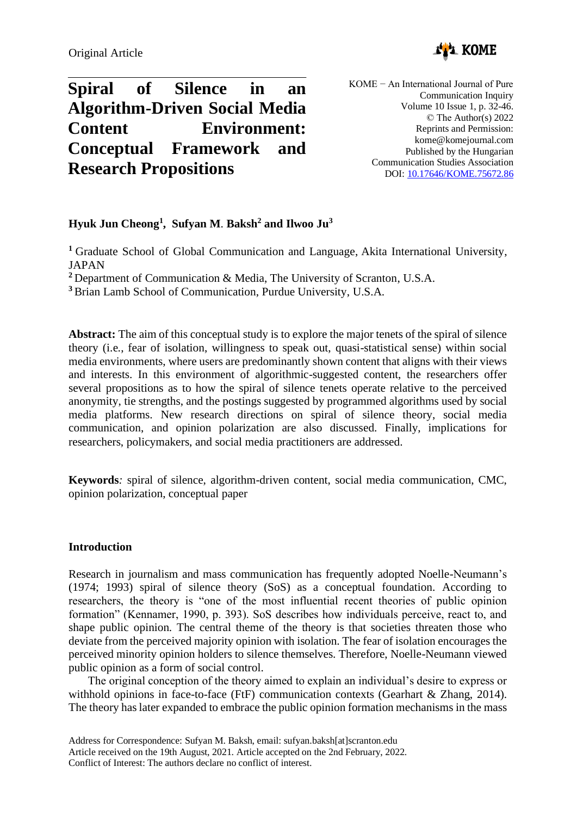

# **Spiral of Silence in an Algorithm-Driven Social Media Content Environment: Conceptual Framework and Research Propositions**

KOME − An International Journal of Pure Communication Inquiry Volume 10 Issue 1, p. 32-46. © The Author(s) 2022 Reprints and Permission: kome@komejournal.com Published by the Hungarian Communication Studies Association DOI: [10.17646/KOME.75672.86](https://doi.org/10.17646/KOME.75672.86)

## **Hyuk Jun Cheong<sup>1</sup> , Sufyan M**. **Baksh<sup>2</sup> and Ilwoo Ju<sup>3</sup>**

**<sup>1</sup>** Graduate School of Global Communication and Language, Akita International University, JAPAN

**<sup>2</sup>** Department of Communication & Media, The University of Scranton, U.S.A.

**<sup>3</sup>** Brian Lamb School of Communication, Purdue University, U.S.A.

**Abstract:** The aim of this conceptual study is to explore the major tenets of the spiral of silence theory (i.e., fear of isolation, willingness to speak out, quasi-statistical sense) within social media environments, where users are predominantly shown content that aligns with their views and interests. In this environment of algorithmic-suggested content, the researchers offer several propositions as to how the spiral of silence tenets operate relative to the perceived anonymity, tie strengths, and the postings suggested by programmed algorithms used by social media platforms. New research directions on spiral of silence theory, social media communication, and opinion polarization are also discussed. Finally, implications for researchers, policymakers, and social media practitioners are addressed.

**Keywords***:* spiral of silence, algorithm-driven content, social media communication, CMC, opinion polarization, conceptual paper

### **Introduction**

Research in journalism and mass communication has frequently adopted Noelle-Neumann's (1974; 1993) spiral of silence theory (SoS) as a conceptual foundation. According to researchers, the theory is "one of the most influential recent theories of public opinion formation" (Kennamer, 1990, p. 393). SoS describes how individuals perceive, react to, and shape public opinion. The central theme of the theory is that societies threaten those who deviate from the perceived majority opinion with isolation. The fear of isolation encourages the perceived minority opinion holders to silence themselves. Therefore, Noelle-Neumann viewed public opinion as a form of social control.

The original conception of the theory aimed to explain an individual's desire to express or withhold opinions in face-to-face (FtF) communication contexts (Gearhart & Zhang, 2014). The theory has later expanded to embrace the public opinion formation mechanisms in the mass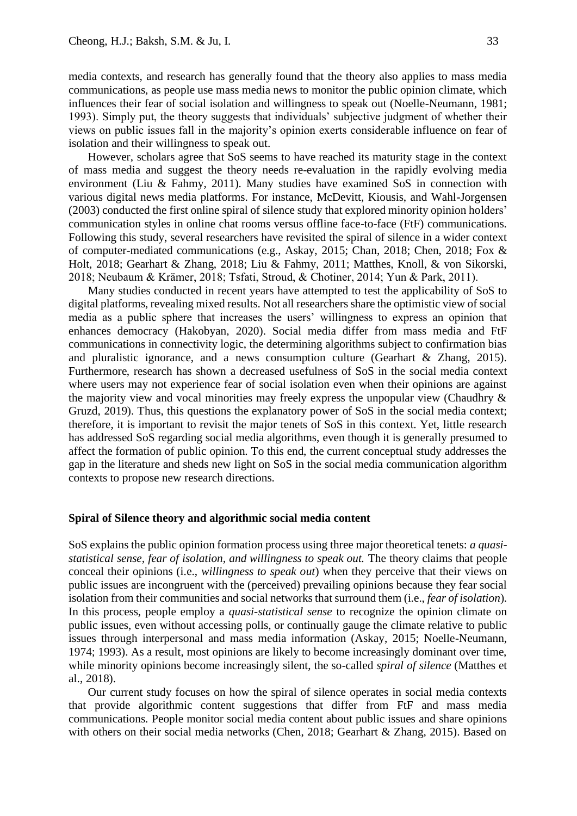media contexts, and research has generally found that the theory also applies to mass media communications, as people use mass media news to monitor the public opinion climate, which influences their fear of social isolation and willingness to speak out (Noelle-Neumann, 1981; 1993). Simply put, the theory suggests that individuals' subjective judgment of whether their views on public issues fall in the majority's opinion exerts considerable influence on fear of isolation and their willingness to speak out.

However, scholars agree that SoS seems to have reached its maturity stage in the context of mass media and suggest the theory needs re-evaluation in the rapidly evolving media environment (Liu & Fahmy, 2011). Many studies have examined SoS in connection with various digital news media platforms. For instance, McDevitt, Kiousis, and Wahl-Jorgensen (2003) conducted the first online spiral of silence study that explored minority opinion holders' communication styles in online chat rooms versus offline face-to-face (FtF) communications. Following this study, several researchers have revisited the spiral of silence in a wider context of computer-mediated communications (e.g., Askay, 2015; Chan, 2018; Chen, 2018; Fox & Holt, 2018; Gearhart & Zhang, 2018; Liu & Fahmy, 2011; Matthes, Knoll, & von Sikorski, 2018; Neubaum & Krämer, 2018; Tsfati, Stroud, & Chotiner, 2014; Yun & Park, 2011).

Many studies conducted in recent years have attempted to test the applicability of SoS to digital platforms, revealing mixed results. Not all researchers share the optimistic view of social media as a public sphere that increases the users' willingness to express an opinion that enhances democracy (Hakobyan, 2020). Social media differ from mass media and FtF communications in connectivity logic, the determining algorithms subject to confirmation bias and pluralistic ignorance, and a news consumption culture (Gearhart & Zhang, 2015). Furthermore, research has shown a decreased usefulness of SoS in the social media context where users may not experience fear of social isolation even when their opinions are against the majority view and vocal minorities may freely express the unpopular view (Chaudhry & Gruzd, 2019). Thus, this questions the explanatory power of SoS in the social media context; therefore, it is important to revisit the major tenets of SoS in this context. Yet, little research has addressed SoS regarding social media algorithms, even though it is generally presumed to affect the formation of public opinion. To this end, the current conceptual study addresses the gap in the literature and sheds new light on SoS in the social media communication algorithm contexts to propose new research directions.

#### **Spiral of Silence theory and algorithmic social media content**

SoS explains the public opinion formation process using three major theoretical tenets: *a quasistatistical sense, fear of isolation, and willingness to speak out.* The theory claims that people conceal their opinions (i.e., *willingness to speak out*) when they perceive that their views on public issues are incongruent with the (perceived) prevailing opinions because they fear social isolation from their communities and social networks that surround them (i.e., *fear of isolation*). In this process, people employ a *quasi-statistical sense* to recognize the opinion climate on public issues, even without accessing polls, or continually gauge the climate relative to public issues through interpersonal and mass media information (Askay, 2015; Noelle-Neumann, 1974; 1993). As a result, most opinions are likely to become increasingly dominant over time, while minority opinions become increasingly silent, the so-called *spiral of silence* (Matthes et al., 2018).

Our current study focuses on how the spiral of silence operates in social media contexts that provide algorithmic content suggestions that differ from FtF and mass media communications. People monitor social media content about public issues and share opinions with others on their social media networks (Chen, 2018; Gearhart & Zhang, 2015). Based on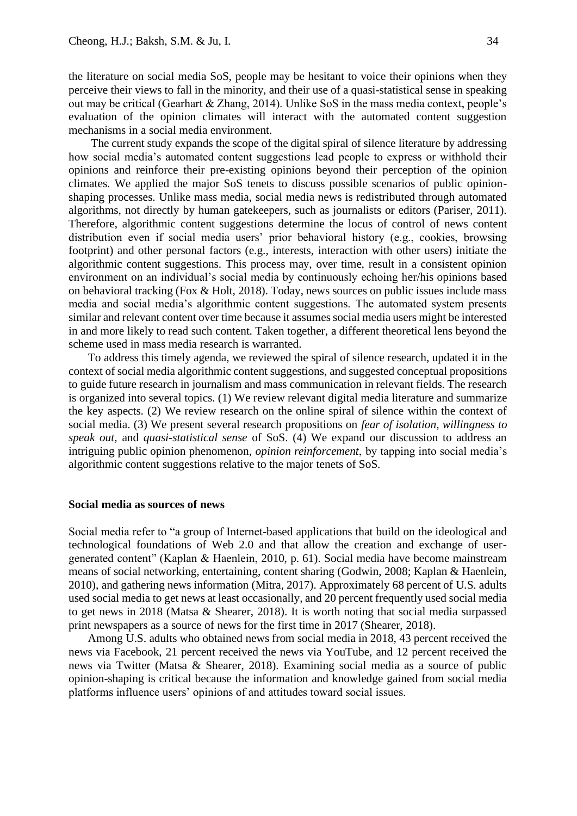the literature on social media SoS, people may be hesitant to voice their opinions when they perceive their views to fall in the minority, and their use of a quasi-statistical sense in speaking out may be critical (Gearhart & Zhang, 2014). Unlike SoS in the mass media context, people's evaluation of the opinion climates will interact with the automated content suggestion mechanisms in a social media environment.

The current study expands the scope of the digital spiral of silence literature by addressing how social media's automated content suggestions lead people to express or withhold their opinions and reinforce their pre-existing opinions beyond their perception of the opinion climates. We applied the major SoS tenets to discuss possible scenarios of public opinionshaping processes. Unlike mass media, social media news is redistributed through automated algorithms, not directly by human gatekeepers, such as journalists or editors (Pariser, 2011). Therefore, algorithmic content suggestions determine the locus of control of news content distribution even if social media users' prior behavioral history (e.g., cookies, browsing footprint) and other personal factors (e.g., interests, interaction with other users) initiate the algorithmic content suggestions. This process may, over time, result in a consistent opinion environment on an individual's social media by continuously echoing her/his opinions based on behavioral tracking (Fox & Holt, 2018). Today, news sources on public issues include mass media and social media's algorithmic content suggestions. The automated system presents similar and relevant content over time because it assumes social media users might be interested in and more likely to read such content. Taken together, a different theoretical lens beyond the scheme used in mass media research is warranted.

To address this timely agenda, we reviewed the spiral of silence research, updated it in the context of social media algorithmic content suggestions, and suggested conceptual propositions to guide future research in journalism and mass communication in relevant fields. The research is organized into several topics. (1) We review relevant digital media literature and summarize the key aspects. (2) We review research on the online spiral of silence within the context of social media. (3) We present several research propositions on *fear of isolation, willingness to speak out,* and *quasi-statistical sense* of SoS. (4) We expand our discussion to address an intriguing public opinion phenomenon, *opinion reinforcement*, by tapping into social media's algorithmic content suggestions relative to the major tenets of SoS.

#### **Social media as sources of news**

Social media refer to "a group of Internet-based applications that build on the ideological and technological foundations of Web 2.0 and that allow the creation and exchange of usergenerated content" (Kaplan & Haenlein, 2010, p. 61). Social media have become mainstream means of social networking, entertaining, content sharing (Godwin, 2008; Kaplan & Haenlein, 2010), and gathering news information (Mitra, 2017). Approximately 68 percent of U.S. adults used social media to get news at least occasionally, and 20 percent frequently used social media to get news in 2018 (Matsa & Shearer, 2018). It is worth noting that social media surpassed print newspapers as a source of news for the first time in 2017 (Shearer, 2018).

Among U.S. adults who obtained news from social media in 2018, 43 percent received the news via Facebook, 21 percent received the news via YouTube, and 12 percent received the news via Twitter (Matsa & Shearer, 2018). Examining social media as a source of public opinion-shaping is critical because the information and knowledge gained from social media platforms influence users' opinions of and attitudes toward social issues.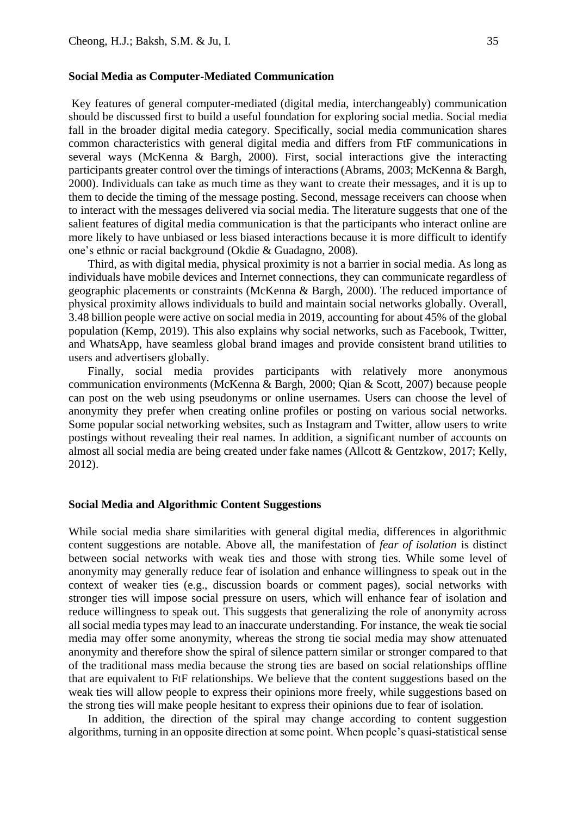#### **Social Media as Computer-Mediated Communication**

Key features of general computer-mediated (digital media, interchangeably) communication should be discussed first to build a useful foundation for exploring social media. Social media fall in the broader digital media category. Specifically, social media communication shares common characteristics with general digital media and differs from FtF communications in several ways (McKenna & Bargh, 2000). First, social interactions give the interacting participants greater control over the timings of interactions (Abrams, 2003; McKenna & Bargh, 2000). Individuals can take as much time as they want to create their messages, and it is up to them to decide the timing of the message posting. Second, message receivers can choose when to interact with the messages delivered via social media. The literature suggests that one of the salient features of digital media communication is that the participants who interact online are more likely to have unbiased or less biased interactions because it is more difficult to identify one's ethnic or racial background (Okdie & Guadagno, 2008).

Third, as with digital media, physical proximity is not a barrier in social media. As long as individuals have mobile devices and Internet connections, they can communicate regardless of geographic placements or constraints (McKenna & Bargh, 2000). The reduced importance of physical proximity allows individuals to build and maintain social networks globally. Overall, 3.48 billion people were active on social media in 2019, accounting for about 45% of the global population (Kemp, 2019). This also explains why social networks, such as Facebook, Twitter, and WhatsApp, have seamless global brand images and provide consistent brand utilities to users and advertisers globally.

Finally, social media provides participants with relatively more anonymous communication environments (McKenna & Bargh, 2000; Qian & Scott, 2007) because people can post on the web using pseudonyms or online usernames. Users can choose the level of anonymity they prefer when creating online profiles or posting on various social networks. Some popular social networking websites, such as Instagram and Twitter, allow users to write postings without revealing their real names. In addition, a significant number of accounts on almost all social media are being created under fake names (Allcott & Gentzkow, 2017; Kelly, 2012).

#### **Social Media and Algorithmic Content Suggestions**

While social media share similarities with general digital media, differences in algorithmic content suggestions are notable. Above all, the manifestation of *fear of isolation* is distinct between social networks with weak ties and those with strong ties. While some level of anonymity may generally reduce fear of isolation and enhance willingness to speak out in the context of weaker ties (e.g., discussion boards or comment pages), social networks with stronger ties will impose social pressure on users, which will enhance fear of isolation and reduce willingness to speak out. This suggests that generalizing the role of anonymity across all social media types may lead to an inaccurate understanding. For instance, the weak tie social media may offer some anonymity, whereas the strong tie social media may show attenuated anonymity and therefore show the spiral of silence pattern similar or stronger compared to that of the traditional mass media because the strong ties are based on social relationships offline that are equivalent to FtF relationships. We believe that the content suggestions based on the weak ties will allow people to express their opinions more freely, while suggestions based on the strong ties will make people hesitant to express their opinions due to fear of isolation.

In addition, the direction of the spiral may change according to content suggestion algorithms, turning in an opposite direction at some point. When people's quasi-statistical sense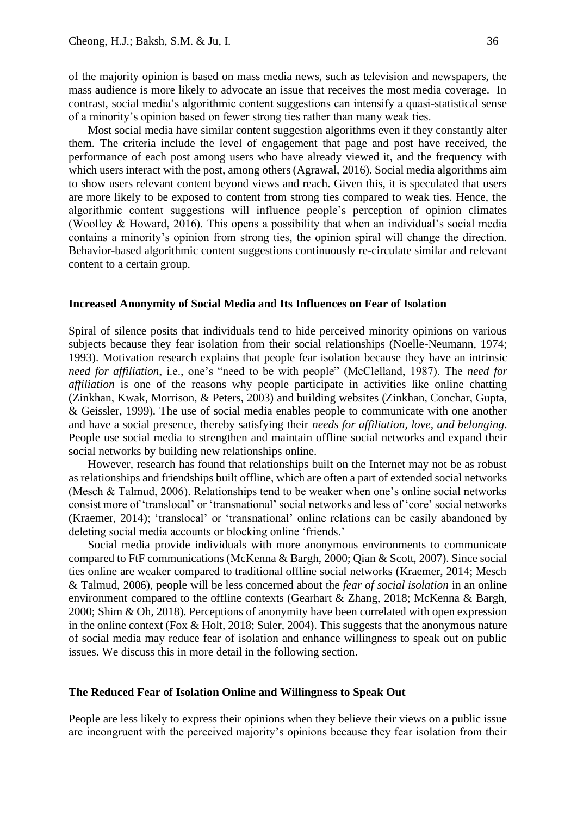of the majority opinion is based on mass media news, such as television and newspapers, the mass audience is more likely to advocate an issue that receives the most media coverage. In contrast, social media's algorithmic content suggestions can intensify a quasi-statistical sense of a minority's opinion based on fewer strong ties rather than many weak ties.

Most social media have similar content suggestion algorithms even if they constantly alter them. The criteria include the level of engagement that page and post have received, the performance of each post among users who have already viewed it, and the frequency with which users interact with the post, among others (Agrawal, 2016). Social media algorithms aim to show users relevant content beyond views and reach. Given this, it is speculated that users are more likely to be exposed to content from strong ties compared to weak ties. Hence, the algorithmic content suggestions will influence people's perception of opinion climates (Woolley & Howard, 2016). This opens a possibility that when an individual's social media contains a minority's opinion from strong ties, the opinion spiral will change the direction. Behavior-based algorithmic content suggestions continuously re-circulate similar and relevant content to a certain group.

#### **Increased Anonymity of Social Media and Its Influences on Fear of Isolation**

Spiral of silence posits that individuals tend to hide perceived minority opinions on various subjects because they fear isolation from their social relationships (Noelle-Neumann, 1974; 1993). Motivation research explains that people fear isolation because they have an intrinsic *need for affiliation*, i.e., one's "need to be with people" (McClelland, 1987). The *need for affiliation* is one of the reasons why people participate in activities like online chatting (Zinkhan, Kwak, Morrison, & Peters, 2003) and building websites (Zinkhan, Conchar, Gupta, & Geissler, 1999)*.* The use of social media enables people to communicate with one another and have a social presence, thereby satisfying their *needs for affiliation, love, and belonging*. People use social media to strengthen and maintain offline social networks and expand their social networks by building new relationships online.

However, research has found that relationships built on the Internet may not be as robust as relationships and friendships built offline, which are often a part of extended social networks (Mesch & Talmud, 2006). Relationships tend to be weaker when one's online social networks consist more of 'translocal' or 'transnational' social networks and less of 'core' social networks (Kraemer, 2014); 'translocal' or 'transnational' online relations can be easily abandoned by deleting social media accounts or blocking online 'friends.'

Social media provide individuals with more anonymous environments to communicate compared to FtF communications (McKenna & Bargh, 2000; Qian & Scott, 2007). Since social ties online are weaker compared to traditional offline social networks (Kraemer, 2014; Mesch & Talmud, 2006), people will be less concerned about the *fear of social isolation* in an online environment compared to the offline contexts (Gearhart & Zhang, 2018; McKenna & Bargh, 2000; Shim & Oh, 2018). Perceptions of anonymity have been correlated with open expression in the online context (Fox & Holt, 2018; Suler, 2004). This suggests that the anonymous nature of social media may reduce fear of isolation and enhance willingness to speak out on public issues. We discuss this in more detail in the following section.

#### **The Reduced Fear of Isolation Online and Willingness to Speak Out**

People are less likely to express their opinions when they believe their views on a public issue are incongruent with the perceived majority's opinions because they fear isolation from their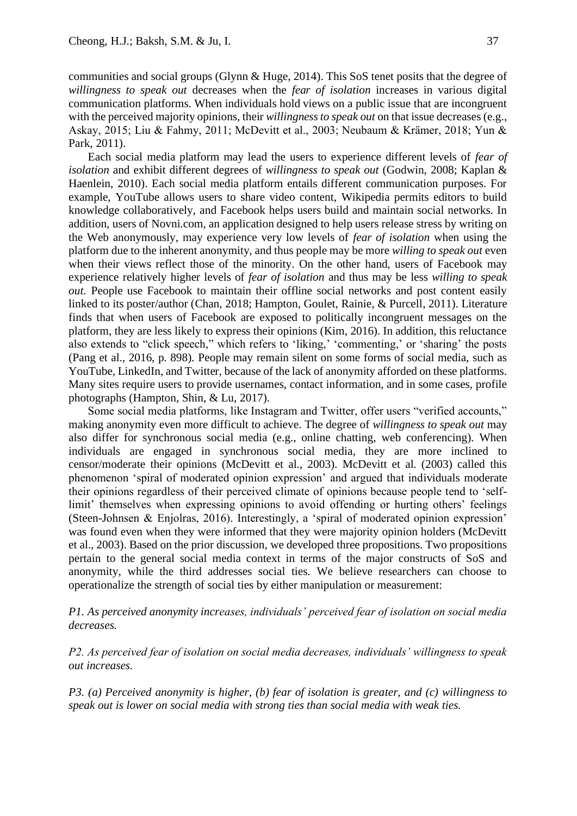communities and social groups (Glynn & Huge, 2014). This SoS tenet posits that the degree of *willingness to speak out* decreases when the *fear of isolation* increases in various digital communication platforms. When individuals hold views on a public issue that are incongruent with the perceived majority opinions, their *willingness to speak out* on that issue decreases (e.g., Askay, 2015; Liu & Fahmy, 2011; McDevitt et al., 2003; Neubaum & Krämer, 2018; Yun & Park, 2011).

Each social media platform may lead the users to experience different levels of *fear of isolation* and exhibit different degrees of *willingness to speak out* (Godwin, 2008; Kaplan & Haenlein, 2010). Each social media platform entails different communication purposes. For example, YouTube allows users to share video content, Wikipedia permits editors to build knowledge collaboratively, and Facebook helps users build and maintain social networks. In addition, users of Novni.com, an application designed to help users release stress by writing on the Web anonymously, may experience very low levels of *fear of isolation* when using the platform due to the inherent anonymity, and thus people may be more *willing to speak out* even when their views reflect those of the minority. On the other hand, users of Facebook may experience relatively higher levels of *fear of isolation* and thus may be less *willing to speak out.* People use Facebook to maintain their offline social networks and post content easily linked to its poster/author (Chan, 2018; Hampton, Goulet, Rainie, & Purcell, 2011). Literature finds that when users of Facebook are exposed to politically incongruent messages on the platform, they are less likely to express their opinions (Kim, 2016). In addition, this reluctance also extends to "click speech," which refers to 'liking,' 'commenting,' or 'sharing' the posts (Pang et al., 2016, p. 898). People may remain silent on some forms of social media, such as YouTube, LinkedIn, and Twitter, because of the lack of anonymity afforded on these platforms. Many sites require users to provide usernames, contact information, and in some cases, profile photographs (Hampton, Shin, & Lu, 2017).

Some social media platforms, like Instagram and Twitter, offer users "verified accounts," making anonymity even more difficult to achieve. The degree of *willingness to speak out* may also differ for synchronous social media (e.g., online chatting, web conferencing). When individuals are engaged in synchronous social media, they are more inclined to censor/moderate their opinions (McDevitt et al., 2003). McDevitt et al. (2003) called this phenomenon 'spiral of moderated opinion expression' and argued that individuals moderate their opinions regardless of their perceived climate of opinions because people tend to 'selflimit' themselves when expressing opinions to avoid offending or hurting others' feelings (Steen-Johnsen & Enjolras, 2016). Interestingly, a 'spiral of moderated opinion expression' was found even when they were informed that they were majority opinion holders (McDevitt et al., 2003). Based on the prior discussion, we developed three propositions. Two propositions pertain to the general social media context in terms of the major constructs of SoS and anonymity, while the third addresses social ties. We believe researchers can choose to operationalize the strength of social ties by either manipulation or measurement:

*P1. As perceived anonymity increases, individuals' perceived fear of isolation on social media decreases.*

*P2. As perceived fear of isolation on social media decreases, individuals' willingness to speak out increases.*

*P3. (a) Perceived anonymity is higher, (b) fear of isolation is greater, and (c) willingness to speak out is lower on social media with strong ties than social media with weak ties.*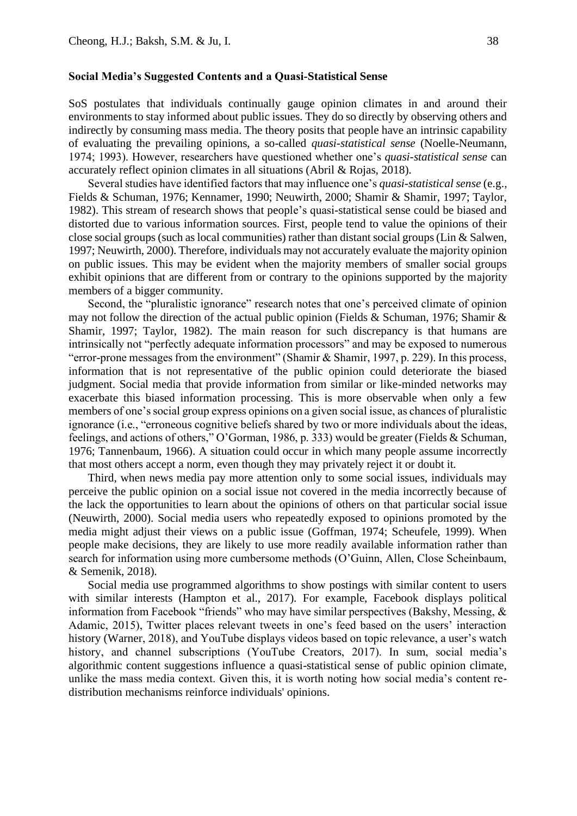#### **Social Media's Suggested Contents and a Quasi-Statistical Sense**

SoS postulates that individuals continually gauge opinion climates in and around their environments to stay informed about public issues. They do so directly by observing others and indirectly by consuming mass media. The theory posits that people have an intrinsic capability of evaluating the prevailing opinions, a so-called *quasi-statistical sense* (Noelle-Neumann, 1974; 1993). However, researchers have questioned whether one's *quasi-statistical sense* can accurately reflect opinion climates in all situations (Abril & Rojas, 2018).

Several studies have identified factors that may influence one's *quasi-statistical sense* (e.g., Fields & Schuman, 1976; Kennamer, 1990; Neuwirth, 2000; Shamir & Shamir, 1997; Taylor, 1982). This stream of research shows that people's quasi-statistical sense could be biased and distorted due to various information sources. First, people tend to value the opinions of their close social groups (such as local communities) rather than distant social groups (Lin & Salwen, 1997; Neuwirth, 2000). Therefore, individuals may not accurately evaluate the majority opinion on public issues. This may be evident when the majority members of smaller social groups exhibit opinions that are different from or contrary to the opinions supported by the majority members of a bigger community.

Second, the "pluralistic ignorance" research notes that one's perceived climate of opinion may not follow the direction of the actual public opinion (Fields & Schuman, 1976; Shamir & Shamir, 1997; Taylor, 1982). The main reason for such discrepancy is that humans are intrinsically not "perfectly adequate information processors" and may be exposed to numerous "error-prone messages from the environment" (Shamir & Shamir, 1997, p. 229). In this process, information that is not representative of the public opinion could deteriorate the biased judgment. Social media that provide information from similar or like-minded networks may exacerbate this biased information processing. This is more observable when only a few members of one's social group express opinions on a given social issue, as chances of pluralistic ignorance (i.e., "erroneous cognitive beliefs shared by two or more individuals about the ideas, feelings, and actions of others," O'Gorman, 1986, p. 333) would be greater (Fields & Schuman, 1976; Tannenbaum, 1966). A situation could occur in which many people assume incorrectly that most others accept a norm, even though they may privately reject it or doubt it.

Third, when news media pay more attention only to some social issues, individuals may perceive the public opinion on a social issue not covered in the media incorrectly because of the lack the opportunities to learn about the opinions of others on that particular social issue (Neuwirth, 2000). Social media users who repeatedly exposed to opinions promoted by the media might adjust their views on a public issue (Goffman, 1974; Scheufele, 1999). When people make decisions, they are likely to use more readily available information rather than search for information using more cumbersome methods (O'Guinn, Allen, Close Scheinbaum, & Semenik, 2018).

Social media use programmed algorithms to show postings with similar content to users with similar interests (Hampton et al., 2017). For example, Facebook displays political information from Facebook "friends" who may have similar perspectives (Bakshy, Messing, & Adamic, 2015), Twitter places relevant tweets in one's feed based on the users' interaction history (Warner, 2018), and YouTube displays videos based on topic relevance, a user's watch history, and channel subscriptions (YouTube Creators, 2017). In sum, social media's algorithmic content suggestions influence a quasi-statistical sense of public opinion climate, unlike the mass media context. Given this, it is worth noting how social media's content redistribution mechanisms reinforce individuals' opinions.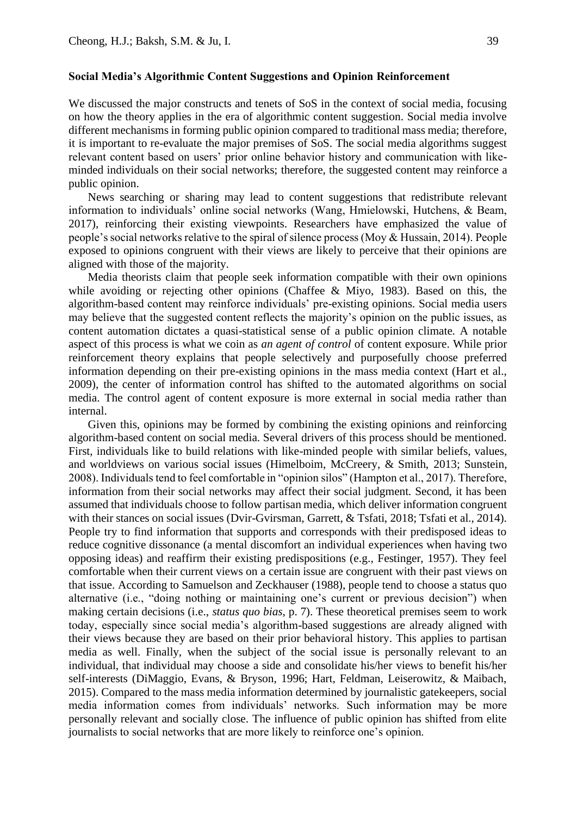#### **Social Media's Algorithmic Content Suggestions and Opinion Reinforcement**

We discussed the major constructs and tenets of SoS in the context of social media, focusing on how the theory applies in the era of algorithmic content suggestion. Social media involve different mechanisms in forming public opinion compared to traditional mass media; therefore, it is important to re-evaluate the major premises of SoS. The social media algorithms suggest relevant content based on users' prior online behavior history and communication with likeminded individuals on their social networks; therefore, the suggested content may reinforce a public opinion.

News searching or sharing may lead to content suggestions that redistribute relevant information to individuals' online social networks (Wang, Hmielowski, Hutchens, & Beam, 2017), reinforcing their existing viewpoints. Researchers have emphasized the value of people's social networks relative to the spiral of silence process (Moy & Hussain, 2014). People exposed to opinions congruent with their views are likely to perceive that their opinions are aligned with those of the majority.

Media theorists claim that people seek information compatible with their own opinions while avoiding or rejecting other opinions (Chaffee & Miyo, 1983). Based on this, the algorithm-based content may reinforce individuals' pre-existing opinions. Social media users may believe that the suggested content reflects the majority's opinion on the public issues, as content automation dictates a quasi-statistical sense of a public opinion climate. A notable aspect of this process is what we coin as *an agent of control* of content exposure. While prior reinforcement theory explains that people selectively and purposefully choose preferred information depending on their pre-existing opinions in the mass media context (Hart et al., 2009), the center of information control has shifted to the automated algorithms on social media. The control agent of content exposure is more external in social media rather than internal.

Given this, opinions may be formed by combining the existing opinions and reinforcing algorithm-based content on social media. Several drivers of this process should be mentioned. First, individuals like to build relations with like-minded people with similar beliefs, values, and worldviews on various social issues (Himelboim, McCreery, & Smith, 2013; Sunstein, 2008). Individuals tend to feel comfortable in "opinion silos" (Hampton et al., 2017). Therefore, information from their social networks may affect their social judgment. Second, it has been assumed that individuals choose to follow partisan media, which deliver information congruent with their stances on social issues (Dvir-Gvirsman, Garrett, & Tsfati, 2018; Tsfati et al., 2014). People try to find information that supports and corresponds with their predisposed ideas to reduce cognitive dissonance (a mental discomfort an individual experiences when having two opposing ideas) and reaffirm their existing predispositions (e.g., Festinger, 1957). They feel comfortable when their current views on a certain issue are congruent with their past views on that issue. According to Samuelson and Zeckhauser (1988), people tend to choose a status quo alternative (i.e., "doing nothing or maintaining one's current or previous decision") when making certain decisions (i.e., *status quo bias*, p. 7). These theoretical premises seem to work today, especially since social media's algorithm-based suggestions are already aligned with their views because they are based on their prior behavioral history. This applies to partisan media as well. Finally, when the subject of the social issue is personally relevant to an individual, that individual may choose a side and consolidate his/her views to benefit his/her self-interests (DiMaggio, Evans, & Bryson, 1996; Hart, Feldman, Leiserowitz, & Maibach, 2015). Compared to the mass media information determined by journalistic gatekeepers, social media information comes from individuals' networks. Such information may be more personally relevant and socially close. The influence of public opinion has shifted from elite journalists to social networks that are more likely to reinforce one's opinion.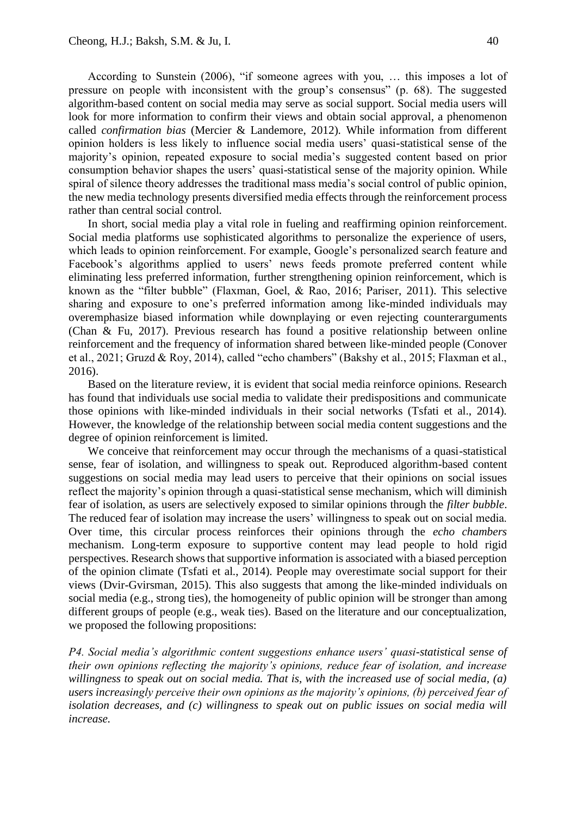According to Sunstein (2006), "if someone agrees with you, … this imposes a lot of pressure on people with inconsistent with the group's consensus" (p. 68). The suggested algorithm-based content on social media may serve as social support. Social media users will look for more information to confirm their views and obtain social approval, a phenomenon called *confirmation bias* (Mercier & Landemore, 2012). While information from different opinion holders is less likely to influence social media users' quasi-statistical sense of the majority's opinion, repeated exposure to social media's suggested content based on prior consumption behavior shapes the users' quasi-statistical sense of the majority opinion. While spiral of silence theory addresses the traditional mass media's social control of public opinion, the new media technology presents diversified media effects through the reinforcement process rather than central social control.

In short, social media play a vital role in fueling and reaffirming opinion reinforcement. Social media platforms use sophisticated algorithms to personalize the experience of users, which leads to opinion reinforcement. For example, Google's personalized search feature and Facebook's algorithms applied to users' news feeds promote preferred content while eliminating less preferred information, further strengthening opinion reinforcement, which is known as the "filter bubble" (Flaxman, Goel, & Rao, 2016; Pariser, 2011). This selective sharing and exposure to one's preferred information among like-minded individuals may overemphasize biased information while downplaying or even rejecting counterarguments (Chan & Fu, 2017). Previous research has found a positive relationship between online reinforcement and the frequency of information shared between like-minded people (Conover et al., 2021; Gruzd & Roy, 2014), called "echo chambers" (Bakshy et al., 2015; Flaxman et al., 2016).

Based on the literature review, it is evident that social media reinforce opinions. Research has found that individuals use social media to validate their predispositions and communicate those opinions with like-minded individuals in their social networks (Tsfati et al., 2014). However, the knowledge of the relationship between social media content suggestions and the degree of opinion reinforcement is limited.

We conceive that reinforcement may occur through the mechanisms of a quasi-statistical sense, fear of isolation, and willingness to speak out. Reproduced algorithm-based content suggestions on social media may lead users to perceive that their opinions on social issues reflect the majority's opinion through a quasi-statistical sense mechanism, which will diminish fear of isolation, as users are selectively exposed to similar opinions through the *filter bubble*. The reduced fear of isolation may increase the users' willingness to speak out on social media. Over time, this circular process reinforces their opinions through the *echo chambers* mechanism. Long-term exposure to supportive content may lead people to hold rigid perspectives. Research shows that supportive information is associated with a biased perception of the opinion climate (Tsfati et al., 2014). People may overestimate social support for their views (Dvir-Gvirsman, 2015). This also suggests that among the like-minded individuals on social media (e.g., strong ties), the homogeneity of public opinion will be stronger than among different groups of people (e.g., weak ties). Based on the literature and our conceptualization, we proposed the following propositions:

*P4. Social media's algorithmic content suggestions enhance users' quasi-statistical sense of their own opinions reflecting the majority's opinions, reduce fear of isolation, and increase willingness to speak out on social media. That is, with the increased use of social media, (a) users increasingly perceive their own opinions as the majority's opinions, (b) perceived fear of isolation decreases, and (c) willingness to speak out on public issues on social media will increase.*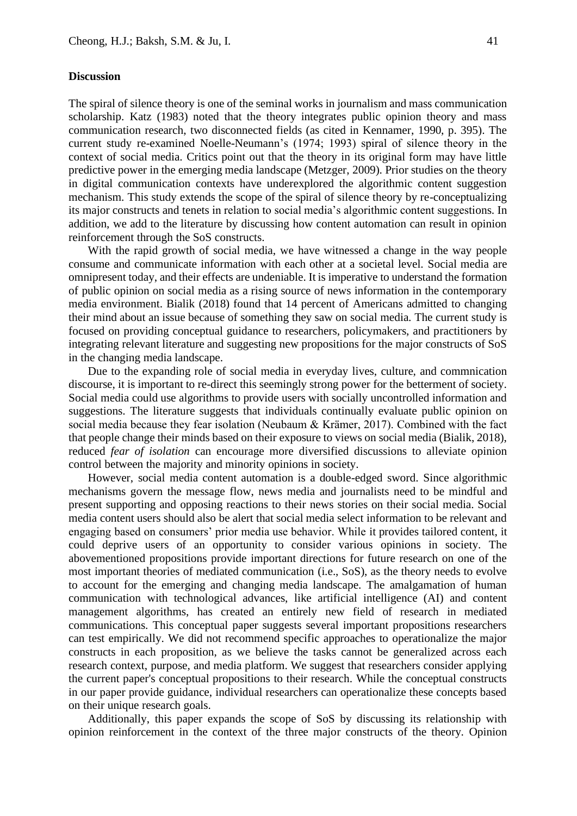#### **Discussion**

The spiral of silence theory is one of the seminal works in journalism and mass communication scholarship. Katz (1983) noted that the theory integrates public opinion theory and mass communication research, two disconnected fields (as cited in Kennamer, 1990, p. 395). The current study re-examined Noelle-Neumann's (1974; 1993) spiral of silence theory in the context of social media. Critics point out that the theory in its original form may have little predictive power in the emerging media landscape (Metzger, 2009). Prior studies on the theory in digital communication contexts have underexplored the algorithmic content suggestion mechanism. This study extends the scope of the spiral of silence theory by re-conceptualizing its major constructs and tenets in relation to social media's algorithmic content suggestions. In addition, we add to the literature by discussing how content automation can result in opinion reinforcement through the SoS constructs.

With the rapid growth of social media, we have witnessed a change in the way people consume and communicate information with each other at a societal level. Social media are omnipresent today, and their effects are undeniable. It is imperative to understand the formation of public opinion on social media as a rising source of news information in the contemporary media environment. Bialik (2018) found that 14 percent of Americans admitted to changing their mind about an issue because of something they saw on social media. The current study is focused on providing conceptual guidance to researchers, policymakers, and practitioners by integrating relevant literature and suggesting new propositions for the major constructs of SoS in the changing media landscape.

Due to the expanding role of social media in everyday lives, culture, and commnication discourse, it is important to re-direct this seemingly strong power for the betterment of society. Social media could use algorithms to provide users with socially uncontrolled information and suggestions. The literature suggests that individuals continually evaluate public opinion on social media because they fear isolation (Neubaum & Krämer, 2017). Combined with the fact that people change their minds based on their exposure to views on social media (Bialik, 2018), reduced *fear of isolation* can encourage more diversified discussions to alleviate opinion control between the majority and minority opinions in society.

However, social media content automation is a double-edged sword. Since algorithmic mechanisms govern the message flow, news media and journalists need to be mindful and present supporting and opposing reactions to their news stories on their social media. Social media content users should also be alert that social media select information to be relevant and engaging based on consumers' prior media use behavior. While it provides tailored content, it could deprive users of an opportunity to consider various opinions in society. The abovementioned propositions provide important directions for future research on one of the most important theories of mediated communication (i.e., SoS), as the theory needs to evolve to account for the emerging and changing media landscape. The amalgamation of human communication with technological advances, like artificial intelligence (AI) and content management algorithms, has created an entirely new field of research in mediated communications. This conceptual paper suggests several important propositions researchers can test empirically. We did not recommend specific approaches to operationalize the major constructs in each proposition, as we believe the tasks cannot be generalized across each research context, purpose, and media platform. We suggest that researchers consider applying the current paper's conceptual propositions to their research. While the conceptual constructs in our paper provide guidance, individual researchers can operationalize these concepts based on their unique research goals.

Additionally, this paper expands the scope of SoS by discussing its relationship with opinion reinforcement in the context of the three major constructs of the theory. Opinion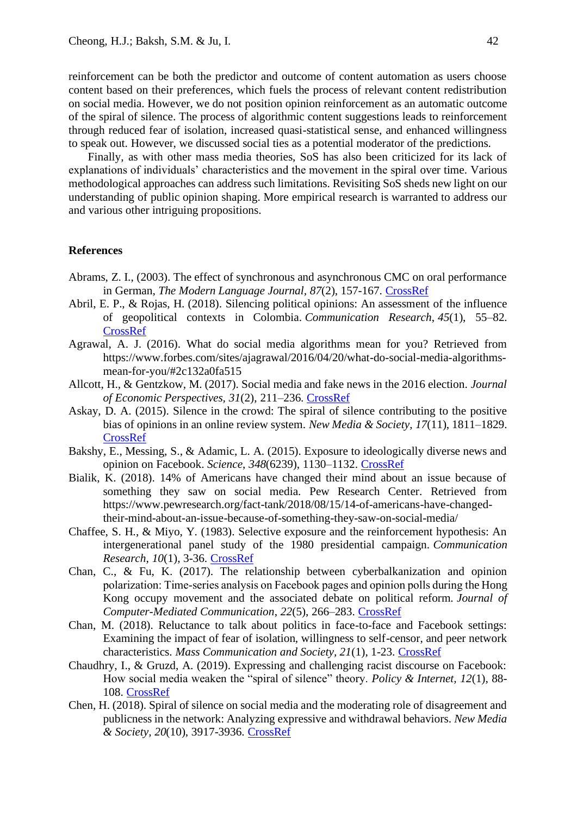reinforcement can be both the predictor and outcome of content automation as users choose content based on their preferences, which fuels the process of relevant content redistribution on social media. However, we do not position opinion reinforcement as an automatic outcome of the spiral of silence. The process of algorithmic content suggestions leads to reinforcement through reduced fear of isolation, increased quasi-statistical sense, and enhanced willingness to speak out. However, we discussed social ties as a potential moderator of the predictions.

Finally, as with other mass media theories, SoS has also been criticized for its lack of explanations of individuals' characteristics and the movement in the spiral over time. Various methodological approaches can address such limitations. Revisiting SoS sheds new light on our understanding of public opinion shaping. More empirical research is warranted to address our and various other intriguing propositions.

#### **References**

- Abrams, Z. I., (2003). The effect of synchronous and asynchronous CMC on oral performance in German, *The Modern Language Journal, 87*(2), 157-167. [CrossRef](https://doi.org/10.1111/1540-4781.00184)
- Abril, E. P., & Rojas, H. (2018). Silencing political opinions: An assessment of the influence of geopolitical contexts in Colombia. *Communication Research*, *45*(1), 55–82. [CrossRef](https://doi.org/10.1177/0093650215616455)
- Agrawal, A. J. (2016). What do social media algorithms mean for you? Retrieved from https://www.forbes.com/sites/ajagrawal/2016/04/20/what-do-social-media-algorithmsmean-for-you/#2c132a0fa515
- Allcott, H., & Gentzkow, M. (2017). Social media and fake news in the 2016 election. *Journal of Economic Perspectives, 31*(2), 211–236. [CrossRef](http://dx.doi.org/10.1257/jep.31.2.211)
- Askay, D. A. (2015). Silence in the crowd: The spiral of silence contributing to the positive bias of opinions in an online review system. *New Media & Society*, *17*(11), 1811–1829. [CrossRef](https://doi.org/10.1177/1461444814535190)
- Bakshy, E., Messing, S., & Adamic, L. A. (2015). Exposure to ideologically diverse news and opinion on Facebook. *Science*, *348*(6239), 1130–1132. [CrossRef](http://dx.doi.org/10.1126/science.aaa1160)
- Bialik, K. (2018). 14% of Americans have changed their mind about an issue because of something they saw on social media. Pew Research Center. Retrieved from https://www.pewresearch.org/fact-tank/2018/08/15/14-of-americans-have-changedtheir-mind-about-an-issue-because-of-something-they-saw-on-social-media/
- Chaffee, S. H., & Miyo, Y. (1983). Selective exposure and the reinforcement hypothesis: An intergenerational panel study of the 1980 presidential campaign. *Communication Research*, *10*(1), 3-36. [CrossRef](https://doi.org/10.1177/009365083010001001)
- Chan, C., & Fu, K. (2017). The relationship between cyberbalkanization and opinion polarization: Time‐series analysis on Facebook pages and opinion polls during the Hong Kong occupy movement and the associated debate on political reform. *Journal of Computer-Mediated Communication*, *22*(5), 266–283. [CrossRef](https://doi.org/10.1111/jcc4.12192)
- Chan, M. (2018). Reluctance to talk about politics in face-to-face and Facebook settings: Examining the impact of fear of isolation, willingness to self-censor, and peer network characteristics. *Mass Communication and Society, 21*(1), 1-23. [CrossRef](https://doi.org/10.1080/15205436.2017.1358819)
- Chaudhry, I., & Gruzd, A. (2019). Expressing and challenging racist discourse on Facebook: How social media weaken the "spiral of silence" theory. *Policy & Internet, 12*(1), 88- 108. [CrossRef](https://doi.org/10.1002/poi3.197)
- Chen, H. (2018). Spiral of silence on social media and the moderating role of disagreement and publicness in the network: Analyzing expressive and withdrawal behaviors. *New Media & Society, 20*(10), 3917-3936. [CrossRef](https://doi.org/10.1177/1461444818763384)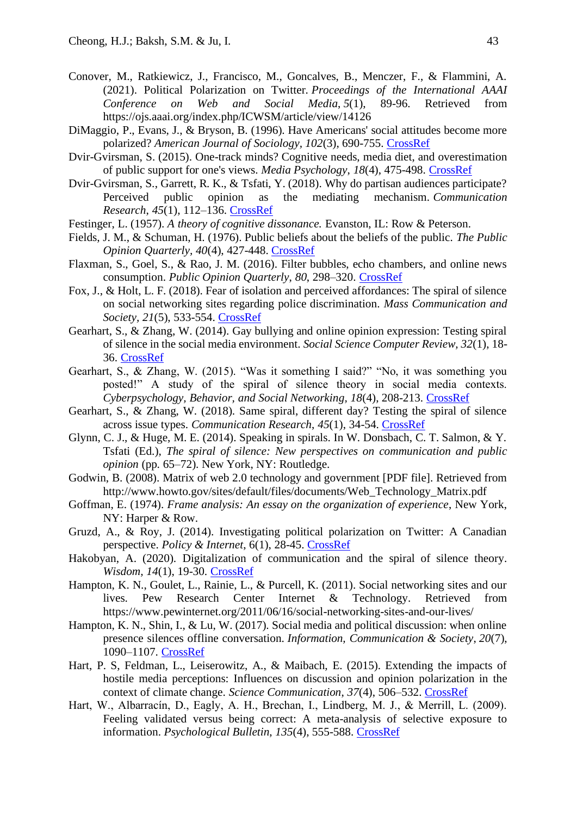- Conover, M., Ratkiewicz, J., Francisco, M., Goncalves, B., Menczer, F., & Flammini, A. (2021). Political Polarization on Twitter. *Proceedings of the International AAAI Conference on Web and Social Media*, *5*(1), 89-96. Retrieved from https://ojs.aaai.org/index.php/ICWSM/article/view/14126
- DiMaggio, P., Evans, J., & Bryson, B. (1996). Have Americans' social attitudes become more polarized? *American Journal of Sociology, 102*(3), 690-755. [CrossRef](https://doi.org/10.1086/230995)
- Dvir-Gvirsman, S. (2015). One-track minds? Cognitive needs, media diet, and overestimation of public support for one's views. *Media Psychology*, *18*(4), 475-498. [CrossRef](https://doi.org/10.1080/15213269.2014.929526)
- Dvir-Gvirsman, S., Garrett, R. K., & Tsfati, Y. (2018). Why do partisan audiences participate? Perceived public opinion as the mediating mechanism. *Communication Research*, *45*(1), 112–136. [CrossRef](https://doi.org/10.1177/0093650215593145)
- Festinger, L. (1957). *A theory of cognitive dissonance.* Evanston, IL: Row & Peterson.
- Fields, J. M., & Schuman, H. (1976). Public beliefs about the beliefs of the public. *The Public Opinion Quarterly, 40*(4), 427-448. [CrossRef](https://doi.org/10.1086/268330)
- Flaxman, S., Goel, S., & Rao, J. M. (2016). Filter bubbles, echo chambers, and online news consumption. *Public Opinion Quarterly*, *80*, 298–320. [CrossRef](https://doi.org/10.1093/poq/nfw006)
- Fox, J., & Holt, L. F. (2018). Fear of isolation and perceived affordances: The spiral of silence on social networking sites regarding police discrimination. *Mass Communication and Society, 21*(5), 533-554. [CrossRef](https://doi.org/10.1080/15205436.2018.1442480)
- Gearhart, S., & Zhang, W. (2014). Gay bullying and online opinion expression: Testing spiral of silence in the social media environment. *Social Science Computer Review, 32*(1), 18- 36. [CrossRef](https://doi.org/10.1177/0894439313504261)
- Gearhart, S., & Zhang, W. (2015). "Was it something I said?" "No, it was something you posted!" A study of the spiral of silence theory in social media contexts. *Cyberpsychology, Behavior, and Social Networking, 18*(4), 208-213. [CrossRef](https://doi.org/110.1089/cyber.2014.0443)
- Gearhart, S., & Zhang, W. (2018). Same spiral, different day? Testing the spiral of silence across issue types. *Communication Research*, *45*(1), 34-54. [CrossRef](https://doi.org/10.1177/0093650215616456)
- Glynn, C. J., & Huge, M. E. (2014). Speaking in spirals. In W. Donsbach, C. T. Salmon, & Y. Tsfati (Ed.), *The spiral of silence: New perspectives on communication and public opinion* (pp. 65–72). New York, NY: Routledge.
- Godwin, B. (2008). Matrix of web 2.0 technology and government [PDF file]. Retrieved from http://www.howto.gov/sites/default/files/documents/Web\_Technology\_Matrix.pdf
- Goffman, E. (1974). *Frame analysis: An essay on the organization of experience*, New York, NY: Harper & Row.
- Gruzd, A., & Roy, J. (2014). Investigating political polarization on Twitter: A Canadian perspective. *Policy & Internet*, 6(1), 28-45. [CrossRef](https://doi.org/10.1002/1944-2866.POI354)
- Hakobyan, A. (2020). Digitalization of communication and the spiral of silence theory. *Wisdom, 14*(1), 19-30. [CrossRef](https://doi.org/10.24234/wisdom.v14i1.312)
- Hampton, K. N., Goulet, L., Rainie, L., & Purcell, K. (2011). Social networking sites and our lives. Pew Research Center Internet & Technology. Retrieved from https://www.pewinternet.org/2011/06/16/social-networking-sites-and-our-lives/
- Hampton, K. N., Shin, I., & Lu, W. (2017). Social media and political discussion: when online presence silences offline conversation. *Information, Communication & Society*, *20*(7), 1090–1107. [CrossRef](https://doi.org/10.1080/1369118X.2016.1218526)
- Hart, P. S, Feldman, L., Leiserowitz, A., & Maibach, E. (2015). Extending the impacts of hostile media perceptions: Influences on discussion and opinion polarization in the context of climate change. *Science Communication*, *37*(4), 506–532. [CrossRef](https://doi.org/10.1177/1075547015592067)
- Hart, W., Albarracín, D., Eagly, A. H., Brechan, I., Lindberg, M. J., & Merrill, L. (2009). Feeling validated versus being correct: A meta-analysis of selective exposure to information. *Psychological Bulletin*, *135*(4), 555-588. [CrossRef](https://doi.org/10.1037/a0015701)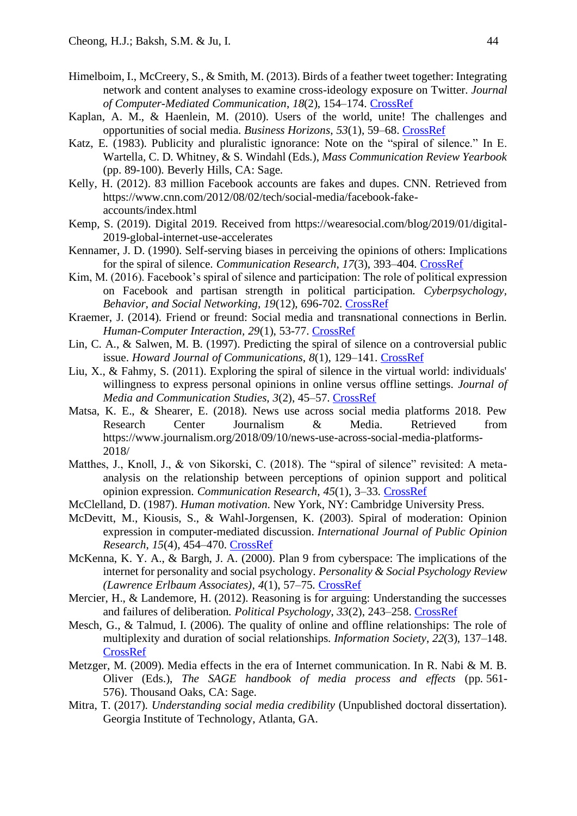- Himelboim, I., McCreery, S., & Smith, M. (2013). Birds of a feather tweet together: Integrating network and content analyses to examine cross-ideology exposure on Twitter. *Journal of Computer-Mediated Communication*, *18*(2), 154–174. [CrossRef](https://doi.org/10.1111/jcc4.12001)
- Kaplan, A. M., & Haenlein, M. (2010). Users of the world, unite! The challenges and opportunities of social media. *Business Horizons*, *53*(1), 59–68. [CrossRef](https://doi.org/10.1016/j.bushor.2009.09.003)
- Katz, E. (1983). Publicity and pluralistic ignorance: Note on the "spiral of silence." In E. Wartella, C. D. Whitney, & S. Windahl (Eds.), *Mass Communication Review Yearbook* (pp. 89-100). Beverly Hills, CA: Sage.
- Kelly, H. (2012). 83 million Facebook accounts are fakes and dupes. CNN. Retrieved from https://www.cnn.com/2012/08/02/tech/social-media/facebook-fakeaccounts/index.html
- Kemp, S. (2019). Digital 2019. Received from https://wearesocial.com/blog/2019/01/digital-2019-global-internet-use-accelerates
- Kennamer, J. D. (1990). Self-serving biases in perceiving the opinions of others: Implications for the spiral of silence. *Communication Research*, *17*(3), 393–404. [CrossRef](https://doi.org/10.1177/009365090017003006)
- Kim, M. (2016). Facebook's spiral of silence and participation: The role of political expression on Facebook and partisan strength in political participation. *Cyberpsychology, Behavior, and Social Networking, 19*(12), 696-702. [CrossRef](https://doi.org/10.1089/cyber.2016.0137)
- Kraemer, J. (2014). Friend or freund: Social media and transnational connections in Berlin. *Human-Computer Interaction, 29*(1), 53-77. [CrossRef](https://doi.org/10.1080/07370024.2013.823821)
- Lin, C. A., & Salwen, M. B. (1997). Predicting the spiral of silence on a controversial public issue. *Howard Journal of Communications*, *8*(1), 129–141. [CrossRef](https://doi.org/10.1080/10646179709361747)
- Liu, X., & Fahmy, S. (2011). Exploring the spiral of silence in the virtual world: individuals' willingness to express personal opinions in online versus offline settings. *Journal of Media and Communication Studies, 3*(2), 45–57. [CrossRef](https://doi.org/10.5897/JMCS.9000031)
- Matsa, K. E., & Shearer, E. (2018). News use across social media platforms 2018. Pew Research Center Journalism & Media. Retrieved from https://www.journalism.org/2018/09/10/news-use-across-social-media-platforms-2018/
- Matthes, J., Knoll, J., & von Sikorski, C. (2018). The "spiral of silence" revisited: A metaanalysis on the relationship between perceptions of opinion support and political opinion expression. *Communication Research*, *45*(1), 3–33. [CrossRef](https://doi.org/10.1177/0093650217745429)
- McClelland, D. (1987). *Human motivation*. New York, NY: Cambridge University Press.
- McDevitt, M., Kiousis, S., & Wahl-Jorgensen, K. (2003). Spiral of moderation: Opinion expression in computer-mediated discussion. *International Journal of Public Opinion Research*, *15*(4), 454–470. [CrossRef](https://doi.org/10.1093/ijpor/15.4.454)
- McKenna, K. Y. A., & Bargh, J. A. (2000). Plan 9 from cyberspace: The implications of the internet for personality and social psychology. *Personality & Social Psychology Review (Lawrence Erlbaum Associates)*, *4*(1), 57–75. [CrossRef](https://doi.org/10.1207/S15327957PSPR0401_6)
- Mercier, H., & Landemore, H. (2012). Reasoning is for arguing: Understanding the successes and failures of deliberation. *Political Psychology*, *33*(2), 243–258. [CrossRef](https://doi.org/10.1111/j.1467-9221.2012.00873.x)
- Mesch, G., & Talmud, I. (2006). The quality of online and offline relationships: The role of multiplexity and duration of social relationships. *Information Society*, *22*(3), 137–148. [CrossRef](https://doi.org/10.1080/01972240600677805)
- Metzger, M. (2009). Media effects in the era of Internet communication. In R. Nabi & M. B. Oliver (Eds.), *The SAGE handbook of media process and effects* (pp. 561- 576). Thousand Oaks, CA: Sage.
- Mitra, T. (2017). *Understanding social media credibility* (Unpublished doctoral dissertation). Georgia Institute of Technology, Atlanta, GA.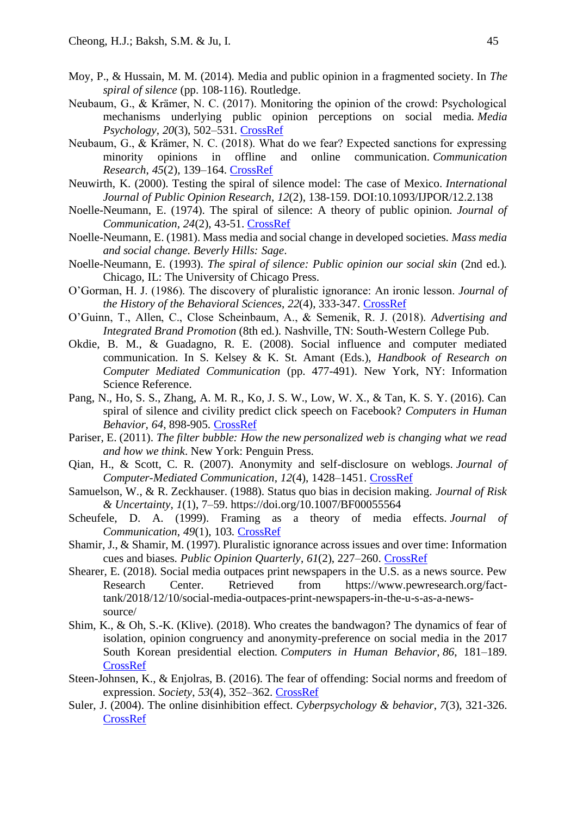- Moy, P., & Hussain, M. M. (2014). Media and public opinion in a fragmented society. In *The spiral of silence* (pp. 108-116). Routledge.
- Neubaum, G., & Krämer, N. C. (2017). Monitoring the opinion of the crowd: Psychological mechanisms underlying public opinion perceptions on social media. *Media Psychology*, *20*(3), 502–531. [CrossRef](https://doi.org/10.1080/15213269.2016.1211539)
- Neubaum, G., & Krämer, N. C. (2018). What do we fear? Expected sanctions for expressing minority opinions in offline and online communication. *Communication Research*, *45*(2), 139–164. [CrossRef](https://doi.org/10.1177/0093650215623837)
- Neuwirth, K. (2000). Testing the spiral of silence model: The case of Mexico. *International Journal of Public Opinion Research*, *12*(2), 138-159. DOI:10.1093/IJPOR/12.2.138
- Noelle-Neumann, E. (1974). The spiral of silence: A theory of public opinion. *Journal of Communication, 24*(2), 43-51. [CrossRef](https://doi.org/10.1111/j.1460-2466.1974.tb00367.x)
- Noelle-Neumann, E. (1981). Mass media and social change in developed societies. *Mass media and social change. Beverly Hills: Sage*.
- Noelle-Neumann, E. (1993). *The spiral of silence: Public opinion our social skin* (2nd ed.)*.*  Chicago, IL: The University of Chicago Press.
- O'Gorman, H. J. (1986). The discovery of pluralistic ignorance: An ironic lesson. *Journal of the History of the Behavioral Sciences*, *22*(4), 333-347. [CrossRef](https://doi.org/10.1002/1520-6696(198610)22:4%3c333::AID-JHBS2300220405%3e3.0.CO;2-X)
- O'Guinn, T., Allen, C., Close Scheinbaum, A., & Semenik, R. J. (2018). *Advertising and Integrated Brand Promotion* (8th ed.). Nashville, TN: South-Western College Pub.
- Okdie, B. M., & Guadagno, R. E. (2008). Social influence and computer mediated communication. In S. Kelsey & K. St. Amant (Eds.), *Handbook of Research on Computer Mediated Communication* (pp. 477-491). New York, NY: Information Science Reference.
- Pang, N., Ho, S. S., Zhang, A. M. R., Ko, J. S. W., Low, W. X., & Tan, K. S. Y. (2016). Can spiral of silence and civility predict click speech on Facebook? *Computers in Human Behavior, 64*, 898-905. [CrossRef](https://doi.org/10.1016/j.chb.2016.07.066)
- Pariser, E. (2011). *The filter bubble: How the new personalized web is changing what we read and how we think*. New York: Penguin Press.
- Qian, H., & Scott, C. R. (2007). Anonymity and self-disclosure on weblogs. *Journal of Computer-Mediated Communication*, *12*(4), 1428–1451. [CrossRef](https://doi.org/10.1111/j.1083-6101.2007.00380.x)
- Samuelson, W., & R. Zeckhauser. (1988). Status quo bias in decision making. *Journal of Risk & Uncertainty*, *1*(1), 7–59. https://doi.org/10.1007/BF00055564
- Scheufele, D. A. (1999). Framing as a theory of media effects. *Journal of Communication*, *49*(1), 103. [CrossRef](https://doi.org/10.1111/j.1460-2466.1999.tb02784.x)
- Shamir, J., & Shamir, M. (1997). Pluralistic ignorance across issues and over time: Information cues and biases. *Public Opinion Quarterly*, *61*(2), 227–260. [CrossRef](https://doi.org/10.1086/297794)
- Shearer, E. (2018). Social media outpaces print newspapers in the U.S. as a news source. Pew Research Center. Retrieved from https://www.pewresearch.org/facttank/2018/12/10/social-media-outpaces-print-newspapers-in-the-u-s-as-a-newssource/
- Shim, K., & Oh, S.-K. (Klive). (2018). Who creates the bandwagon? The dynamics of fear of isolation, opinion congruency and anonymity-preference on social media in the 2017 South Korean presidential election. *Computers in Human Behavior*, *86*, 181–189. [CrossRef](https://doi.org/10.1016/j.chb.2018.04.012)
- Steen-Johnsen, K., & Enjolras, B. (2016). The fear of offending: Social norms and freedom of expression. *Society*, *53*(4), 352–362. [CrossRef](https://doi.org/10.1007/s12115-016-0044-2)
- Suler, J. (2004). The online disinhibition effect. *Cyberpsychology & behavior*, *7*(3), 321-326. [CrossRef](https://doi.org/10.1089/1094931041291295)